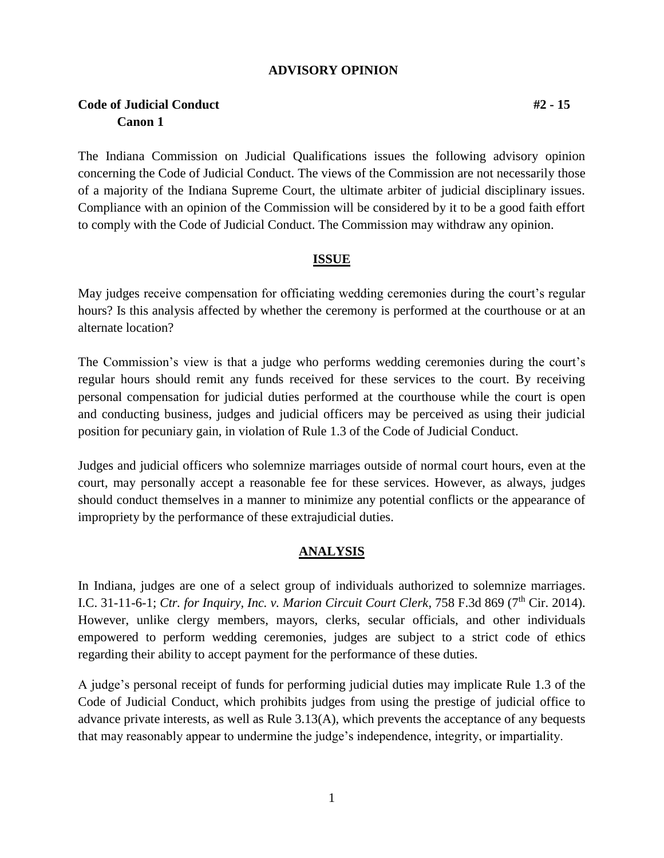### **ADVISORY OPINION**

# **Code of Judicial Conduct #2 - 15 Canon 1**

The Indiana Commission on Judicial Qualifications issues the following advisory opinion concerning the Code of Judicial Conduct. The views of the Commission are not necessarily those of a majority of the Indiana Supreme Court, the ultimate arbiter of judicial disciplinary issues. Compliance with an opinion of the Commission will be considered by it to be a good faith effort to comply with the Code of Judicial Conduct. The Commission may withdraw any opinion.

### **ISSUE**

May judges receive compensation for officiating wedding ceremonies during the court's regular hours? Is this analysis affected by whether the ceremony is performed at the courthouse or at an alternate location?

The Commission's view is that a judge who performs wedding ceremonies during the court's regular hours should remit any funds received for these services to the court. By receiving personal compensation for judicial duties performed at the courthouse while the court is open and conducting business, judges and judicial officers may be perceived as using their judicial position for pecuniary gain, in violation of Rule 1.3 of the Code of Judicial Conduct.

Judges and judicial officers who solemnize marriages outside of normal court hours, even at the court, may personally accept a reasonable fee for these services. However, as always, judges should conduct themselves in a manner to minimize any potential conflicts or the appearance of impropriety by the performance of these extrajudicial duties.

## **ANALYSIS**

In Indiana, judges are one of a select group of individuals authorized to solemnize marriages. I.C. 31-11-6-1; *Ctr. for Inquiry, Inc. v. Marion Circuit Court Clerk*, 758 F.3d 869 (7<sup>th</sup> Cir. 2014). However, unlike clergy members, mayors, clerks, secular officials, and other individuals empowered to perform wedding ceremonies, judges are subject to a strict code of ethics regarding their ability to accept payment for the performance of these duties.

A judge's personal receipt of funds for performing judicial duties may implicate Rule 1.3 of the Code of Judicial Conduct, which prohibits judges from using the prestige of judicial office to advance private interests, as well as Rule 3.13(A), which prevents the acceptance of any bequests that may reasonably appear to undermine the judge's independence, integrity, or impartiality.